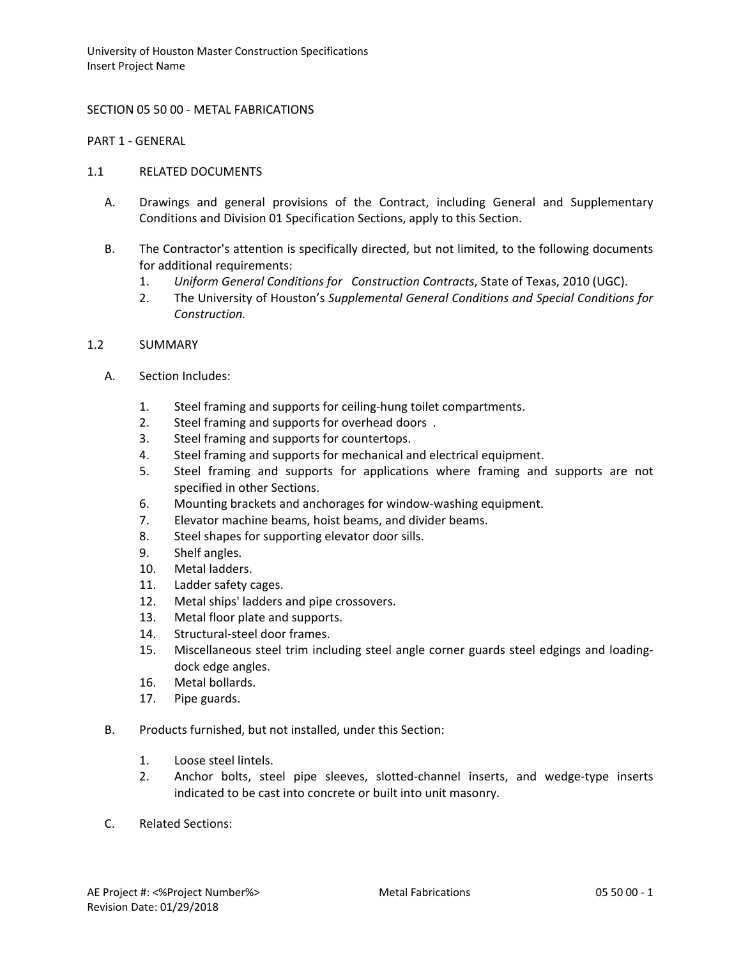### SECTION 05 50 00 - METAL FABRICATIONS

PART 1 - GENERAL

#### 1.1 RELATED DOCUMENTS

- A. Drawings and general provisions of the Contract, including General and Supplementary Conditions and Division 01 Specification Sections, apply to this Section.
- B. The Contractor's attention is specifically directed, but not limited, to the following documents for additional requirements:
	- 1. *Uniform General Conditions for Construction Contracts*, State of Texas, 2010 (UGC).
	- 2. The University of Houston's *Supplemental General Conditions and Special Conditions for Construction.*

### 1.2 SUMMARY

- A. Section Includes:
	- 1. Steel framing and supports for ceiling-hung toilet compartments.
	- 2. Steel framing and supports for overhead doors .
	- 3. Steel framing and supports for countertops.
	- 4. Steel framing and supports for mechanical and electrical equipment.
	- 5. Steel framing and supports for applications where framing and supports are not specified in other Sections.
	- 6. Mounting brackets and anchorages for window-washing equipment.
	- 7. Elevator machine beams, hoist beams, and divider beams.
	- 8. Steel shapes for supporting elevator door sills.
	- 9. Shelf angles.
	- 10. Metal ladders.
	- 11. Ladder safety cages.
	- 12. Metal ships' ladders and pipe crossovers.
	- 13. Metal floor plate and supports.
	- 14. Structural-steel door frames.
	- 15. Miscellaneous steel trim including steel angle corner guards steel edgings and loadingdock edge angles.
	- 16. Metal bollards.
	- 17. Pipe guards.
- B. Products furnished, but not installed, under this Section:
	- 1. Loose steel lintels.
	- 2. Anchor bolts, steel pipe sleeves, slotted-channel inserts, and wedge-type inserts indicated to be cast into concrete or built into unit masonry.
- C. Related Sections: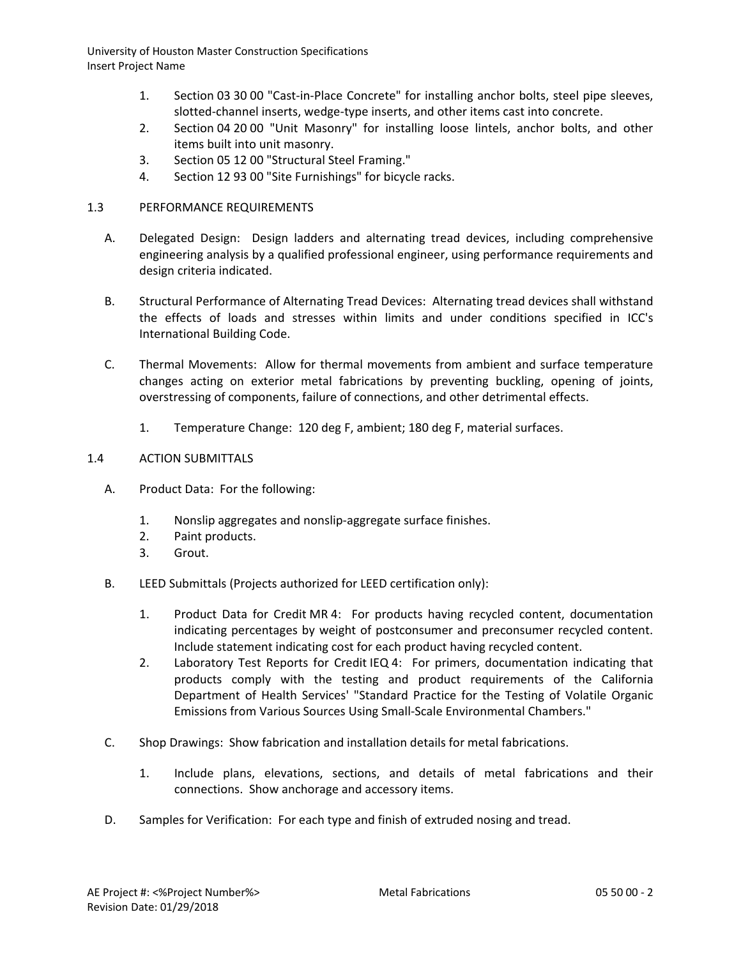- 1. Section 03 30 00 "Cast-in-Place Concrete" for installing anchor bolts, steel pipe sleeves, slotted-channel inserts, wedge-type inserts, and other items cast into concrete.
- 2. Section 04 20 00 "Unit Masonry" for installing loose lintels, anchor bolts, and other items built into unit masonry.
- 3. Section 05 12 00 "Structural Steel Framing."
- 4. Section 12 93 00 "Site Furnishings" for bicycle racks.

# 1.3 PERFORMANCE REQUIREMENTS

- A. Delegated Design: Design ladders and alternating tread devices, including comprehensive engineering analysis by a qualified professional engineer, using performance requirements and design criteria indicated.
- B. Structural Performance of Alternating Tread Devices: Alternating tread devices shall withstand the effects of loads and stresses within limits and under conditions specified in ICC's International Building Code.
- C. Thermal Movements: Allow for thermal movements from ambient and surface temperature changes acting on exterior metal fabrications by preventing buckling, opening of joints, overstressing of components, failure of connections, and other detrimental effects.
	- 1. Temperature Change: 120 deg F, ambient; 180 deg F, material surfaces.

## 1.4 ACTION SUBMITTALS

- A. Product Data: For the following:
	- 1. Nonslip aggregates and nonslip-aggregate surface finishes.
	- 2. Paint products.
	- 3. Grout.
- B. LEED Submittals (Projects authorized for LEED certification only):
	- 1. Product Data for Credit MR 4: For products having recycled content, documentation indicating percentages by weight of postconsumer and preconsumer recycled content. Include statement indicating cost for each product having recycled content.
	- 2. Laboratory Test Reports for Credit IEQ 4: For primers, documentation indicating that products comply with the testing and product requirements of the California Department of Health Services' "Standard Practice for the Testing of Volatile Organic Emissions from Various Sources Using Small-Scale Environmental Chambers."
- C. Shop Drawings: Show fabrication and installation details for metal fabrications.
	- 1. Include plans, elevations, sections, and details of metal fabrications and their connections. Show anchorage and accessory items.
- D. Samples for Verification: For each type and finish of extruded nosing and tread.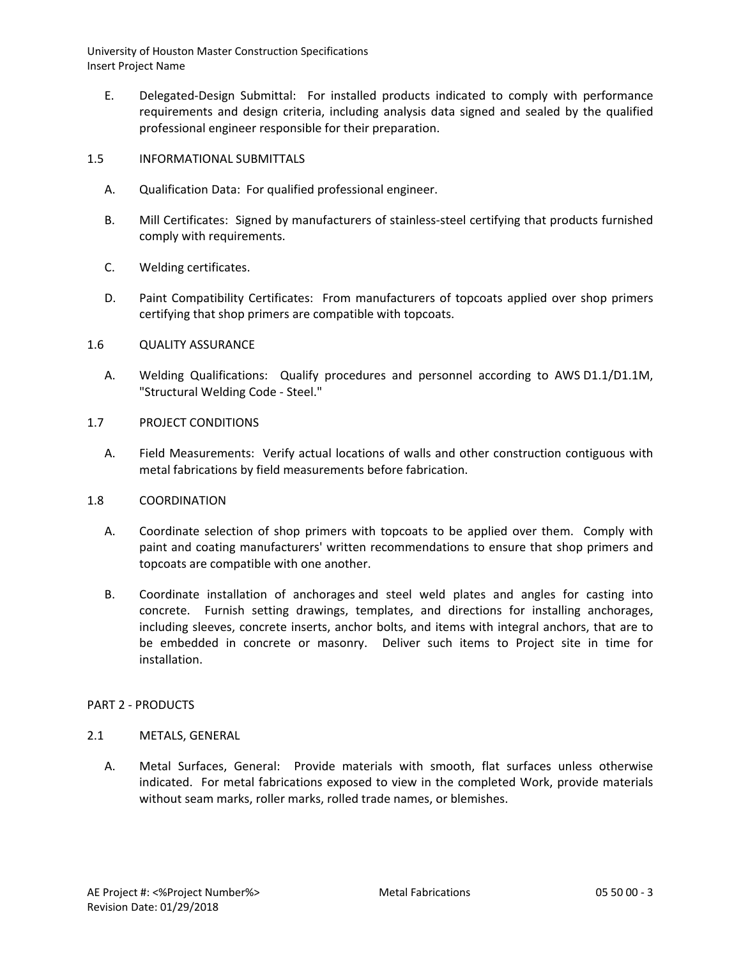- E. Delegated-Design Submittal: For installed products indicated to comply with performance requirements and design criteria, including analysis data signed and sealed by the qualified professional engineer responsible for their preparation.
- 1.5 INFORMATIONAL SUBMITTALS
	- A. Qualification Data: For qualified professional engineer.
	- B. Mill Certificates: Signed by manufacturers of stainless-steel certifying that products furnished comply with requirements.
	- C. Welding certificates.
	- D. Paint Compatibility Certificates: From manufacturers of topcoats applied over shop primers certifying that shop primers are compatible with topcoats.
- 1.6 QUALITY ASSURANCE
	- A. Welding Qualifications: Qualify procedures and personnel according to AWS D1.1/D1.1M, "Structural Welding Code - Steel."
- 1.7 PROJECT CONDITIONS
	- A. Field Measurements: Verify actual locations of walls and other construction contiguous with metal fabrications by field measurements before fabrication.
- 1.8 COORDINATION
	- A. Coordinate selection of shop primers with topcoats to be applied over them. Comply with paint and coating manufacturers' written recommendations to ensure that shop primers and topcoats are compatible with one another.
	- B. Coordinate installation of anchorages and steel weld plates and angles for casting into concrete. Furnish setting drawings, templates, and directions for installing anchorages, including sleeves, concrete inserts, anchor bolts, and items with integral anchors, that are to be embedded in concrete or masonry. Deliver such items to Project site in time for installation.

## PART 2 - PRODUCTS

#### 2.1 METALS, GENERAL

A. Metal Surfaces, General: Provide materials with smooth, flat surfaces unless otherwise indicated. For metal fabrications exposed to view in the completed Work, provide materials without seam marks, roller marks, rolled trade names, or blemishes.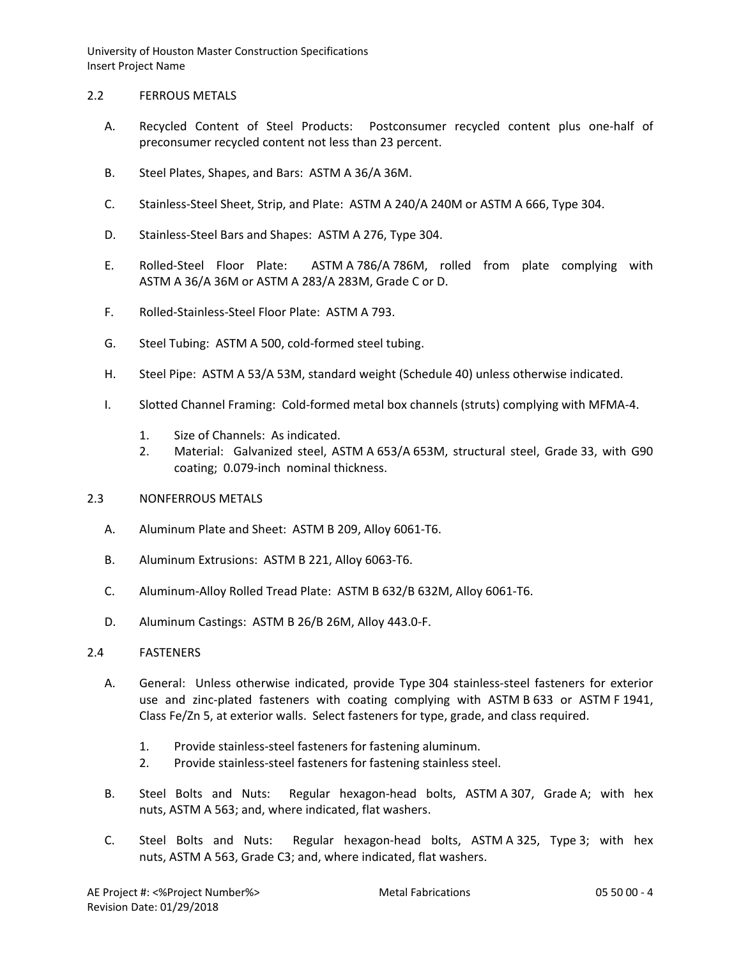### 2.2 FERROUS METALS

- A. Recycled Content of Steel Products: Postconsumer recycled content plus one-half of preconsumer recycled content not less than 23 percent.
- B. Steel Plates, Shapes, and Bars: ASTM A 36/A 36M.
- C. Stainless-Steel Sheet, Strip, and Plate: ASTM A 240/A 240M or ASTM A 666, Type 304.
- D. Stainless-Steel Bars and Shapes: ASTM A 276, Type 304.
- E. Rolled-Steel Floor Plate: ASTM A 786/A 786M, rolled from plate complying with ASTM A 36/A 36M or ASTM A 283/A 283M, Grade C or D.
- F. Rolled-Stainless-Steel Floor Plate: ASTM A 793.
- G. Steel Tubing: ASTM A 500, cold-formed steel tubing.
- H. Steel Pipe: ASTM A 53/A 53M, standard weight (Schedule 40) unless otherwise indicated.
- I. Slotted Channel Framing: Cold-formed metal box channels (struts) complying with MFMA-4.
	- 1. Size of Channels: As indicated.
	- 2. Material: Galvanized steel, ASTM A 653/A 653M, structural steel, Grade 33, with G90 coating; 0.079-inch nominal thickness.
- 2.3 NONFERROUS METALS
	- A. Aluminum Plate and Sheet: ASTM B 209, Alloy 6061-T6.
	- B. Aluminum Extrusions: ASTM B 221, Alloy 6063-T6.
	- C. Aluminum-Alloy Rolled Tread Plate: ASTM B 632/B 632M, Alloy 6061-T6.
	- D. Aluminum Castings: ASTM B 26/B 26M, Alloy 443.0-F.

## 2.4 FASTENERS

- A. General: Unless otherwise indicated, provide Type 304 stainless-steel fasteners for exterior use and zinc-plated fasteners with coating complying with ASTM B 633 or ASTM F 1941, Class Fe/Zn 5, at exterior walls. Select fasteners for type, grade, and class required.
	- 1. Provide stainless-steel fasteners for fastening aluminum.
	- 2. Provide stainless-steel fasteners for fastening stainless steel.
- B. Steel Bolts and Nuts: Regular hexagon-head bolts, ASTM A 307, Grade A; with hex nuts, ASTM A 563; and, where indicated, flat washers.
- C. Steel Bolts and Nuts: Regular hexagon-head bolts, ASTM A 325, Type 3; with hex nuts, ASTM A 563, Grade C3; and, where indicated, flat washers.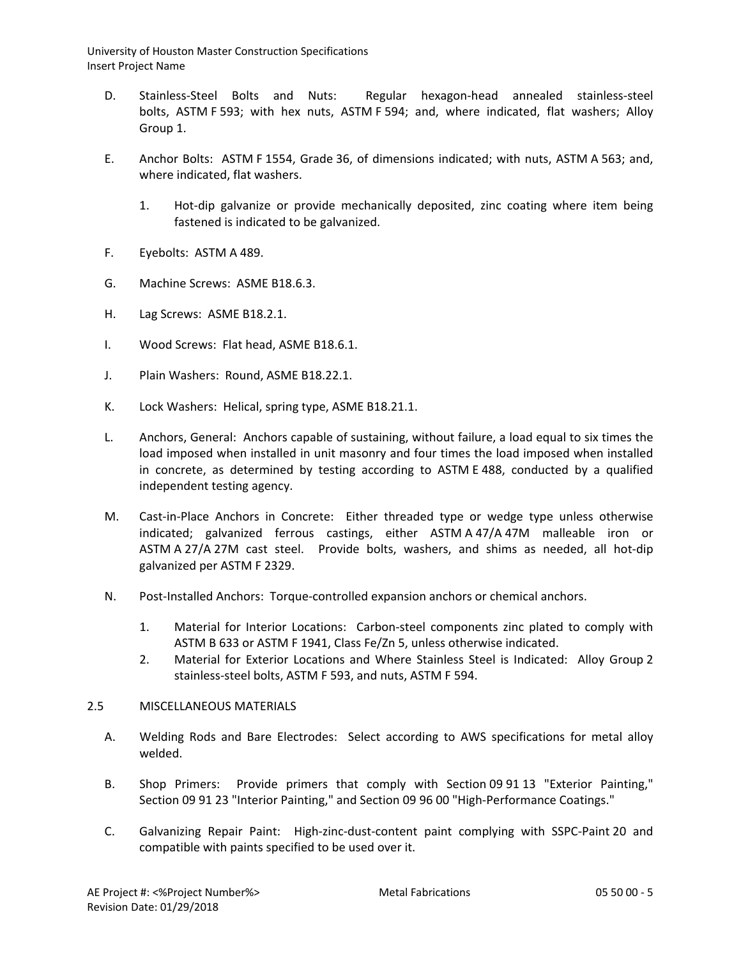- D. Stainless-Steel Bolts and Nuts: Regular hexagon-head annealed stainless-steel bolts, ASTM F 593; with hex nuts, ASTM F 594; and, where indicated, flat washers; Alloy Group 1.
- E. Anchor Bolts: ASTM F 1554, Grade 36, of dimensions indicated; with nuts, ASTM A 563; and, where indicated, flat washers.
	- 1. Hot-dip galvanize or provide mechanically deposited, zinc coating where item being fastened is indicated to be galvanized.
- F. Eyebolts: ASTM A 489.
- G. Machine Screws: ASME B18.6.3.
- H. Lag Screws: ASME B18.2.1.
- I. Wood Screws: Flat head, ASME B18.6.1.
- J. Plain Washers: Round, ASME B18.22.1.
- K. Lock Washers: Helical, spring type, ASME B18.21.1.
- L. Anchors, General: Anchors capable of sustaining, without failure, a load equal to six times the load imposed when installed in unit masonry and four times the load imposed when installed in concrete, as determined by testing according to ASTM E 488, conducted by a qualified independent testing agency.
- M. Cast-in-Place Anchors in Concrete: Either threaded type or wedge type unless otherwise indicated; galvanized ferrous castings, either ASTM A 47/A 47M malleable iron or ASTM A 27/A 27M cast steel. Provide bolts, washers, and shims as needed, all hot-dip galvanized per ASTM F 2329.
- N. Post-Installed Anchors: Torque-controlled expansion anchors or chemical anchors.
	- 1. Material for Interior Locations: Carbon-steel components zinc plated to comply with ASTM B 633 or ASTM F 1941, Class Fe/Zn 5, unless otherwise indicated.
	- 2. Material for Exterior Locations and Where Stainless Steel is Indicated: Alloy Group 2 stainless-steel bolts, ASTM F 593, and nuts, ASTM F 594.

## 2.5 MISCELLANEOUS MATERIALS

- A. Welding Rods and Bare Electrodes: Select according to AWS specifications for metal alloy welded.
- B. Shop Primers: Provide primers that comply with Section 09 91 13 "Exterior Painting," Section 09 91 23 "Interior Painting," and Section 09 96 00 "High-Performance Coatings."
- C. Galvanizing Repair Paint: High-zinc-dust-content paint complying with SSPC-Paint 20 and compatible with paints specified to be used over it.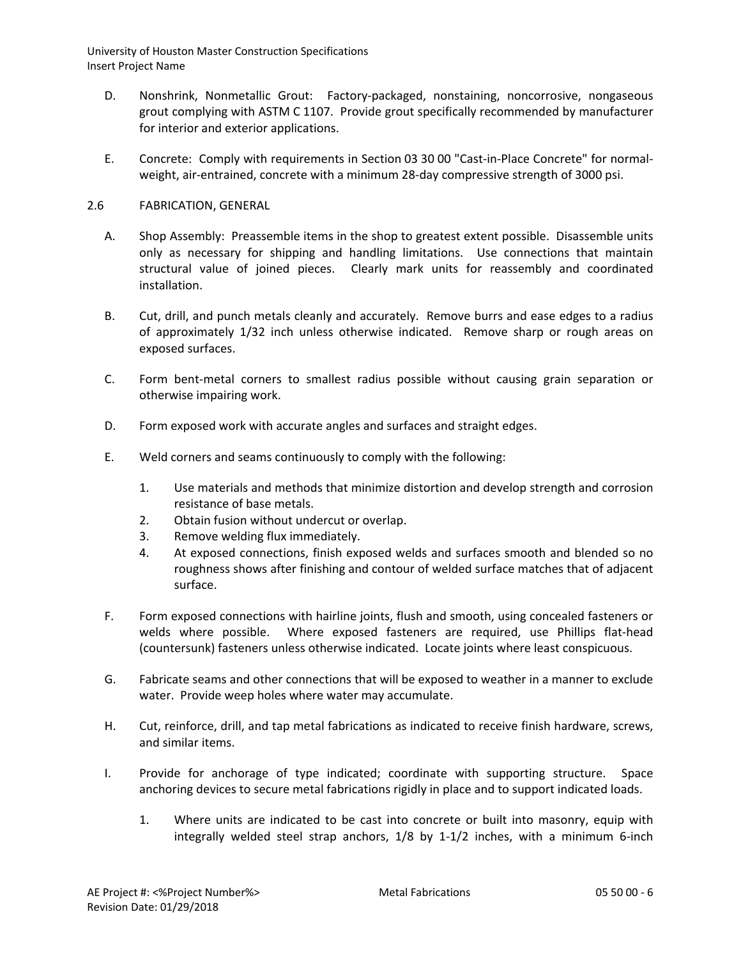- D. Nonshrink, Nonmetallic Grout: Factory-packaged, nonstaining, noncorrosive, nongaseous grout complying with ASTM C 1107. Provide grout specifically recommended by manufacturer for interior and exterior applications.
- E. Concrete: Comply with requirements in Section 03 30 00 "Cast-in-Place Concrete" for normalweight, air-entrained, concrete with a minimum 28-day compressive strength of 3000 psi.

# 2.6 FABRICATION, GENERAL

- A. Shop Assembly: Preassemble items in the shop to greatest extent possible. Disassemble units only as necessary for shipping and handling limitations. Use connections that maintain structural value of joined pieces. Clearly mark units for reassembly and coordinated installation.
- B. Cut, drill, and punch metals cleanly and accurately. Remove burrs and ease edges to a radius of approximately 1/32 inch unless otherwise indicated. Remove sharp or rough areas on exposed surfaces.
- C. Form bent-metal corners to smallest radius possible without causing grain separation or otherwise impairing work.
- D. Form exposed work with accurate angles and surfaces and straight edges.
- E. Weld corners and seams continuously to comply with the following:
	- 1. Use materials and methods that minimize distortion and develop strength and corrosion resistance of base metals.
	- 2. Obtain fusion without undercut or overlap.
	- 3. Remove welding flux immediately.
	- 4. At exposed connections, finish exposed welds and surfaces smooth and blended so no roughness shows after finishing and contour of welded surface matches that of adjacent surface.
- F. Form exposed connections with hairline joints, flush and smooth, using concealed fasteners or welds where possible. Where exposed fasteners are required, use Phillips flat-head (countersunk) fasteners unless otherwise indicated. Locate joints where least conspicuous.
- G. Fabricate seams and other connections that will be exposed to weather in a manner to exclude water. Provide weep holes where water may accumulate.
- H. Cut, reinforce, drill, and tap metal fabrications as indicated to receive finish hardware, screws, and similar items.
- I. Provide for anchorage of type indicated; coordinate with supporting structure. Space anchoring devices to secure metal fabrications rigidly in place and to support indicated loads.
	- 1. Where units are indicated to be cast into concrete or built into masonry, equip with integrally welded steel strap anchors, 1/8 by 1-1/2 inches, with a minimum 6-inch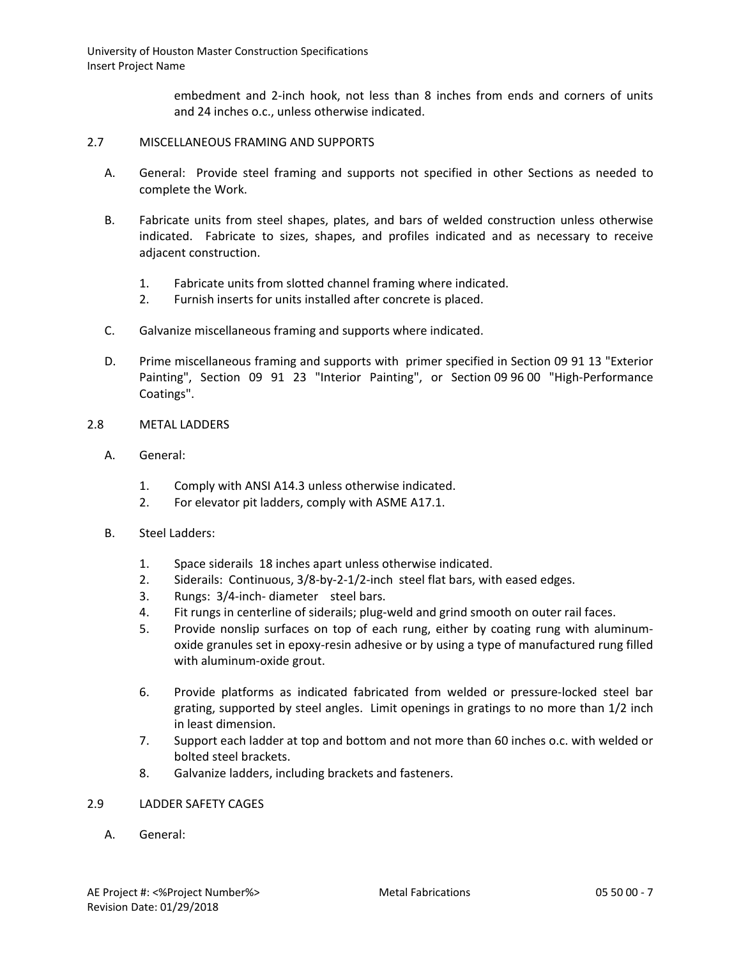> embedment and 2-inch hook, not less than 8 inches from ends and corners of units and 24 inches o.c., unless otherwise indicated.

#### 2.7 MISCELLANEOUS FRAMING AND SUPPORTS

- A. General: Provide steel framing and supports not specified in other Sections as needed to complete the Work.
- B. Fabricate units from steel shapes, plates, and bars of welded construction unless otherwise indicated. Fabricate to sizes, shapes, and profiles indicated and as necessary to receive adjacent construction.
	- 1. Fabricate units from slotted channel framing where indicated.
	- 2. Furnish inserts for units installed after concrete is placed.
- C. Galvanize miscellaneous framing and supports where indicated.
- D. Prime miscellaneous framing and supports with primer specified in Section 09 91 13 "Exterior Painting", Section 09 91 23 "Interior Painting", or Section 09 96 00 "High-Performance Coatings".

### 2.8 METAL LADDERS

- A. General:
	- 1. Comply with ANSI A14.3 unless otherwise indicated.
	- 2. For elevator pit ladders, comply with ASME A17.1.
- B. Steel Ladders:
	- 1. Space siderails 18 inches apart unless otherwise indicated.
	- 2. Siderails: Continuous, 3/8-by-2-1/2-inch steel flat bars, with eased edges.
	- 3. Rungs: 3/4-inch- diameter steel bars.
	- 4. Fit rungs in centerline of siderails; plug-weld and grind smooth on outer rail faces.
	- 5. Provide nonslip surfaces on top of each rung, either by coating rung with aluminumoxide granules set in epoxy-resin adhesive or by using a type of manufactured rung filled with aluminum-oxide grout.
	- 6. Provide platforms as indicated fabricated from welded or pressure-locked steel bar grating, supported by steel angles. Limit openings in gratings to no more than 1/2 inch in least dimension.
	- 7. Support each ladder at top and bottom and not more than 60 inches o.c. with welded or bolted steel brackets.
	- 8. Galvanize ladders, including brackets and fasteners.

## 2.9 LADDER SAFETY CAGES

A. General: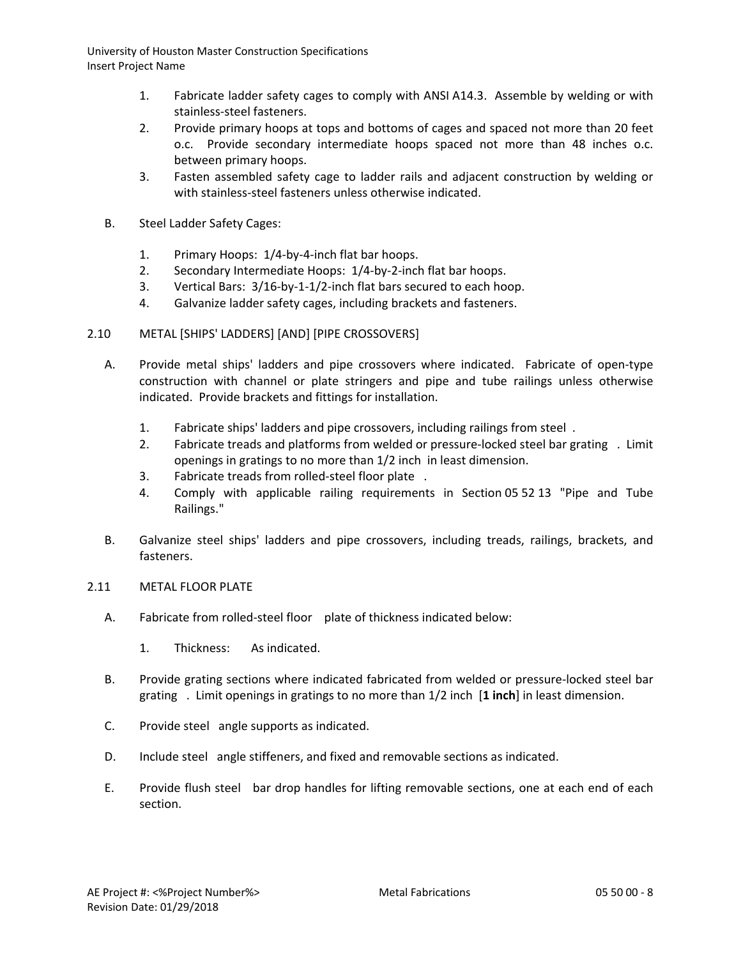- 1. Fabricate ladder safety cages to comply with ANSI A14.3. Assemble by welding or with stainless-steel fasteners.
- 2. Provide primary hoops at tops and bottoms of cages and spaced not more than 20 feet o.c. Provide secondary intermediate hoops spaced not more than 48 inches o.c. between primary hoops.
- 3. Fasten assembled safety cage to ladder rails and adjacent construction by welding or with stainless-steel fasteners unless otherwise indicated.
- B. Steel Ladder Safety Cages:
	- 1. Primary Hoops: 1/4-by-4-inch flat bar hoops.
	- 2. Secondary Intermediate Hoops: 1/4-by-2-inch flat bar hoops.
	- 3. Vertical Bars: 3/16-by-1-1/2-inch flat bars secured to each hoop.
	- 4. Galvanize ladder safety cages, including brackets and fasteners.
- 2.10 METAL [SHIPS' LADDERS] [AND] [PIPE CROSSOVERS]
	- A. Provide metal ships' ladders and pipe crossovers where indicated. Fabricate of open-type construction with channel or plate stringers and pipe and tube railings unless otherwise indicated. Provide brackets and fittings for installation.
		- 1. Fabricate ships' ladders and pipe crossovers, including railings from steel .
		- 2. Fabricate treads and platforms from welded or pressure-locked steel bar grating . Limit openings in gratings to no more than 1/2 inch in least dimension.
		- 3. Fabricate treads from rolled-steel floor plate .
		- 4. Comply with applicable railing requirements in Section 05 52 13 "Pipe and Tube Railings."
	- B. Galvanize steel ships' ladders and pipe crossovers, including treads, railings, brackets, and fasteners.
- 2.11 METAL FLOOR PLATE
	- A. Fabricate from rolled-steel floor plate of thickness indicated below:
		- 1. Thickness: As indicated.
	- B. Provide grating sections where indicated fabricated from welded or pressure-locked steel bar grating . Limit openings in gratings to no more than 1/2 inch [**1 inch**] in least dimension.
	- C. Provide steel angle supports as indicated.
	- D. Include steel angle stiffeners, and fixed and removable sections as indicated.
	- E. Provide flush steel bar drop handles for lifting removable sections, one at each end of each section.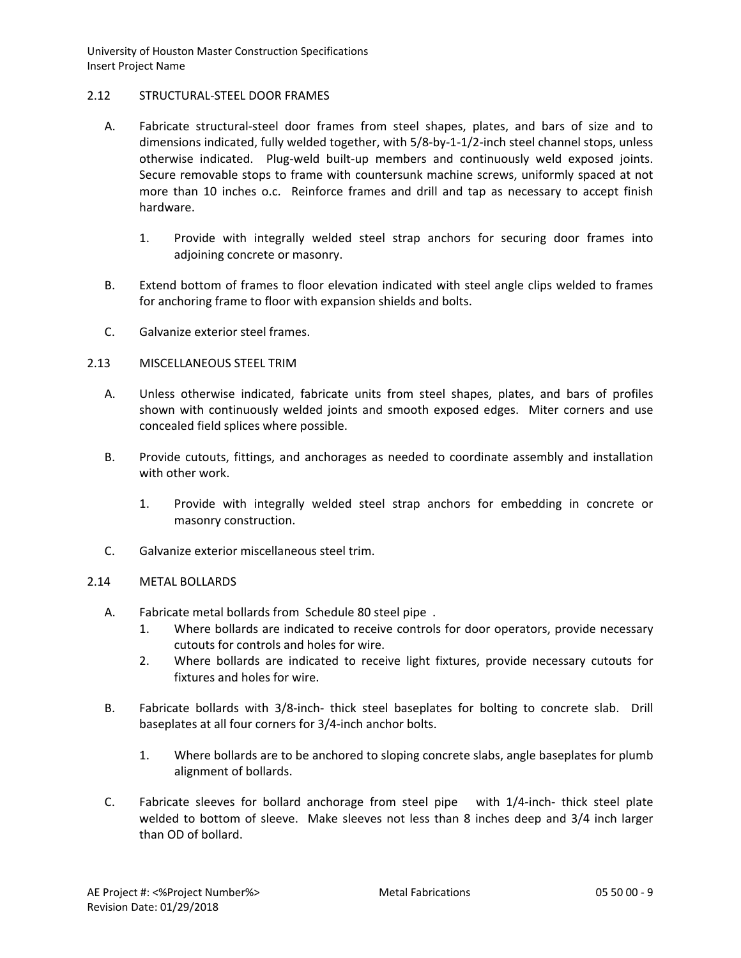## 2.12 STRUCTURAL-STEEL DOOR FRAMES

- A. Fabricate structural-steel door frames from steel shapes, plates, and bars of size and to dimensions indicated, fully welded together, with 5/8-by-1-1/2-inch steel channel stops, unless otherwise indicated. Plug-weld built-up members and continuously weld exposed joints. Secure removable stops to frame with countersunk machine screws, uniformly spaced at not more than 10 inches o.c. Reinforce frames and drill and tap as necessary to accept finish hardware.
	- 1. Provide with integrally welded steel strap anchors for securing door frames into adjoining concrete or masonry.
- B. Extend bottom of frames to floor elevation indicated with steel angle clips welded to frames for anchoring frame to floor with expansion shields and bolts.
- C. Galvanize exterior steel frames.

## 2.13 MISCELLANEOUS STEEL TRIM

- A. Unless otherwise indicated, fabricate units from steel shapes, plates, and bars of profiles shown with continuously welded joints and smooth exposed edges. Miter corners and use concealed field splices where possible.
- B. Provide cutouts, fittings, and anchorages as needed to coordinate assembly and installation with other work.
	- 1. Provide with integrally welded steel strap anchors for embedding in concrete or masonry construction.
- C. Galvanize exterior miscellaneous steel trim.

#### 2.14 METAL BOLLARDS

- A. Fabricate metal bollards from Schedule 80 steel pipe .
	- 1. Where bollards are indicated to receive controls for door operators, provide necessary cutouts for controls and holes for wire.
	- 2. Where bollards are indicated to receive light fixtures, provide necessary cutouts for fixtures and holes for wire.
- B. Fabricate bollards with 3/8-inch- thick steel baseplates for bolting to concrete slab. Drill baseplates at all four corners for 3/4-inch anchor bolts.
	- 1. Where bollards are to be anchored to sloping concrete slabs, angle baseplates for plumb alignment of bollards.
- C. Fabricate sleeves for bollard anchorage from steel pipe with 1/4-inch- thick steel plate welded to bottom of sleeve. Make sleeves not less than 8 inches deep and 3/4 inch larger than OD of bollard.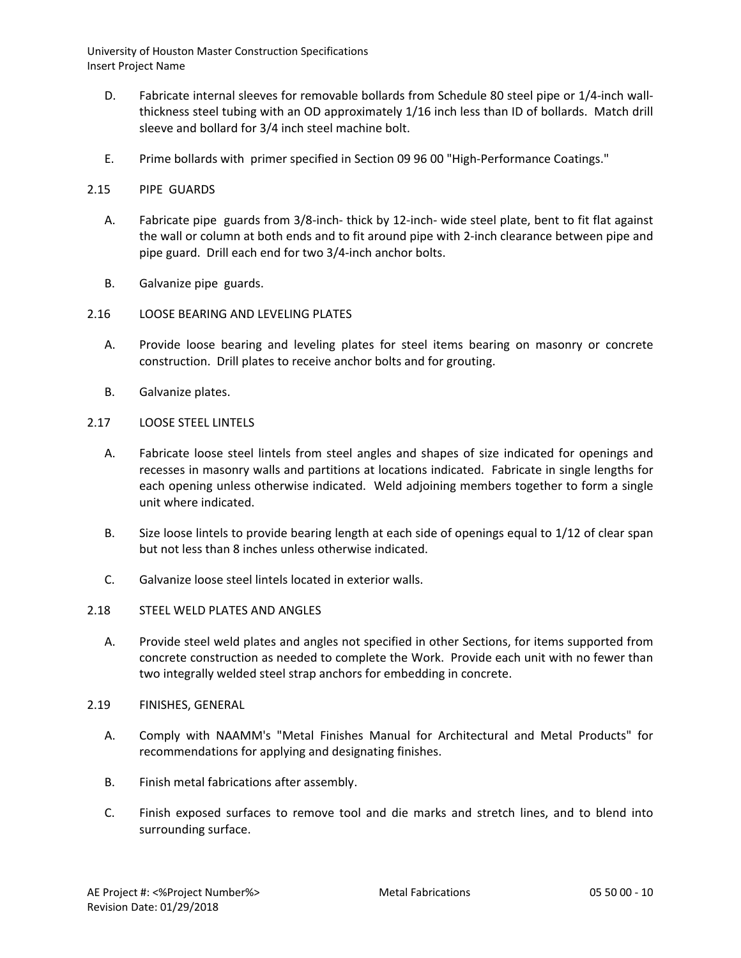- D. Fabricate internal sleeves for removable bollards from Schedule 80 steel pipe or 1/4-inch wallthickness steel tubing with an OD approximately 1/16 inch less than ID of bollards. Match drill sleeve and bollard for 3/4 inch steel machine bolt.
- E. Prime bollards with primer specified in Section 09 96 00 "High-Performance Coatings."

## 2.15 PIPE GUARDS

- A. Fabricate pipe guards from 3/8-inch- thick by 12-inch- wide steel plate, bent to fit flat against the wall or column at both ends and to fit around pipe with 2-inch clearance between pipe and pipe guard. Drill each end for two 3/4-inch anchor bolts.
- B. Galvanize pipe guards.

## 2.16 LOOSE BEARING AND LEVELING PLATES

- A. Provide loose bearing and leveling plates for steel items bearing on masonry or concrete construction. Drill plates to receive anchor bolts and for grouting.
- B. Galvanize plates.
- 2.17 LOOSE STEEL LINTELS
	- A. Fabricate loose steel lintels from steel angles and shapes of size indicated for openings and recesses in masonry walls and partitions at locations indicated. Fabricate in single lengths for each opening unless otherwise indicated. Weld adjoining members together to form a single unit where indicated.
	- B. Size loose lintels to provide bearing length at each side of openings equal to 1/12 of clear span but not less than 8 inches unless otherwise indicated.
	- C. Galvanize loose steel lintels located in exterior walls.

#### 2.18 STEEL WELD PLATES AND ANGLES

- A. Provide steel weld plates and angles not specified in other Sections, for items supported from concrete construction as needed to complete the Work. Provide each unit with no fewer than two integrally welded steel strap anchors for embedding in concrete.
- 2.19 FINISHES, GENERAL
	- A. Comply with NAAMM's "Metal Finishes Manual for Architectural and Metal Products" for recommendations for applying and designating finishes.
	- B. Finish metal fabrications after assembly.
	- C. Finish exposed surfaces to remove tool and die marks and stretch lines, and to blend into surrounding surface.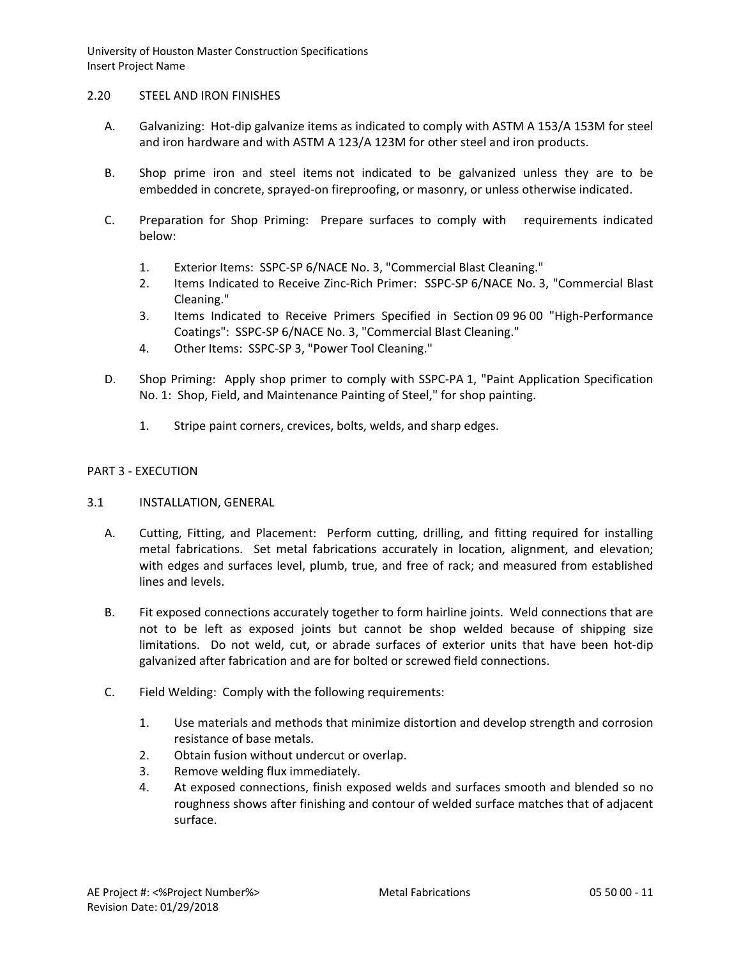### 2.20 STEEL AND IRON FINISHES

- A. Galvanizing: Hot-dip galvanize items as indicated to comply with ASTM A 153/A 153M for steel and iron hardware and with ASTM A 123/A 123M for other steel and iron products.
- B. Shop prime iron and steel items not indicated to be galvanized unless they are to be embedded in concrete, sprayed-on fireproofing, or masonry, or unless otherwise indicated.
- C. Preparation for Shop Priming: Prepare surfaces to comply with requirements indicated below:
	- 1. Exterior Items: SSPC-SP 6/NACE No. 3, "Commercial Blast Cleaning."
	- 2. Items Indicated to Receive Zinc-Rich Primer: SSPC-SP 6/NACE No. 3, "Commercial Blast Cleaning."
	- 3. Items Indicated to Receive Primers Specified in Section 09 96 00 "High-Performance Coatings": SSPC-SP 6/NACE No. 3, "Commercial Blast Cleaning."
	- 4. Other Items: SSPC-SP 3, "Power Tool Cleaning."
- D. Shop Priming: Apply shop primer to comply with SSPC-PA 1, "Paint Application Specification No. 1: Shop, Field, and Maintenance Painting of Steel," for shop painting.
	- 1. Stripe paint corners, crevices, bolts, welds, and sharp edges.

### PART 3 - EXECUTION

- 3.1 INSTALLATION, GENERAL
	- A. Cutting, Fitting, and Placement: Perform cutting, drilling, and fitting required for installing metal fabrications. Set metal fabrications accurately in location, alignment, and elevation; with edges and surfaces level, plumb, true, and free of rack; and measured from established lines and levels.
	- B. Fit exposed connections accurately together to form hairline joints. Weld connections that are not to be left as exposed joints but cannot be shop welded because of shipping size limitations. Do not weld, cut, or abrade surfaces of exterior units that have been hot-dip galvanized after fabrication and are for bolted or screwed field connections.
	- C. Field Welding: Comply with the following requirements:
		- 1. Use materials and methods that minimize distortion and develop strength and corrosion resistance of base metals.
		- 2. Obtain fusion without undercut or overlap.
		- 3. Remove welding flux immediately.
		- 4. At exposed connections, finish exposed welds and surfaces smooth and blended so no roughness shows after finishing and contour of welded surface matches that of adjacent surface.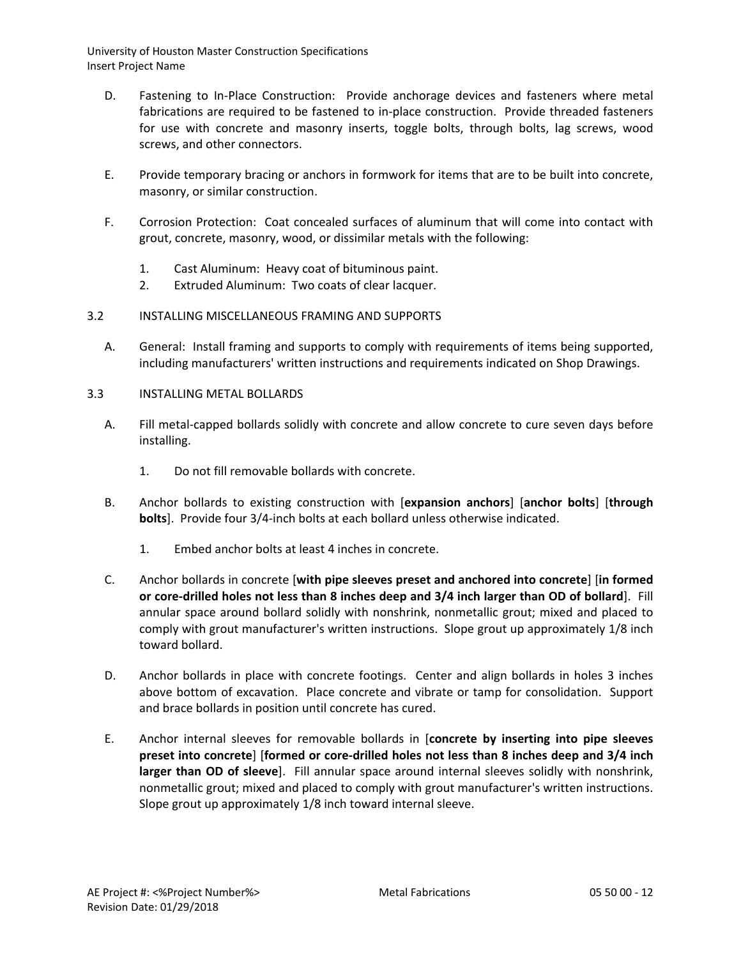- D. Fastening to In-Place Construction: Provide anchorage devices and fasteners where metal fabrications are required to be fastened to in-place construction. Provide threaded fasteners for use with concrete and masonry inserts, toggle bolts, through bolts, lag screws, wood screws, and other connectors.
- E. Provide temporary bracing or anchors in formwork for items that are to be built into concrete, masonry, or similar construction.
- F. Corrosion Protection: Coat concealed surfaces of aluminum that will come into contact with grout, concrete, masonry, wood, or dissimilar metals with the following:
	- 1. Cast Aluminum: Heavy coat of bituminous paint.
	- 2. Extruded Aluminum: Two coats of clear lacquer.
- 3.2 INSTALLING MISCELLANEOUS FRAMING AND SUPPORTS
	- A. General: Install framing and supports to comply with requirements of items being supported, including manufacturers' written instructions and requirements indicated on Shop Drawings.
- 3.3 INSTALLING METAL BOLLARDS
	- A. Fill metal-capped bollards solidly with concrete and allow concrete to cure seven days before installing.
		- 1. Do not fill removable bollards with concrete.
	- B. Anchor bollards to existing construction with [**expansion anchors**] [**anchor bolts**] [**through bolts**]. Provide four 3/4-inch bolts at each bollard unless otherwise indicated.
		- 1. Embed anchor bolts at least 4 inches in concrete.
	- C. Anchor bollards in concrete [**with pipe sleeves preset and anchored into concrete**] [**in formed or core-drilled holes not less than 8 inches deep and 3/4 inch larger than OD of bollard**]. Fill annular space around bollard solidly with nonshrink, nonmetallic grout; mixed and placed to comply with grout manufacturer's written instructions. Slope grout up approximately 1/8 inch toward bollard.
	- D. Anchor bollards in place with concrete footings. Center and align bollards in holes 3 inches above bottom of excavation. Place concrete and vibrate or tamp for consolidation. Support and brace bollards in position until concrete has cured.
	- E. Anchor internal sleeves for removable bollards in [**concrete by inserting into pipe sleeves preset into concrete**] [**formed or core-drilled holes not less than 8 inches deep and 3/4 inch larger than OD of sleeve**]. Fill annular space around internal sleeves solidly with nonshrink, nonmetallic grout; mixed and placed to comply with grout manufacturer's written instructions. Slope grout up approximately 1/8 inch toward internal sleeve.